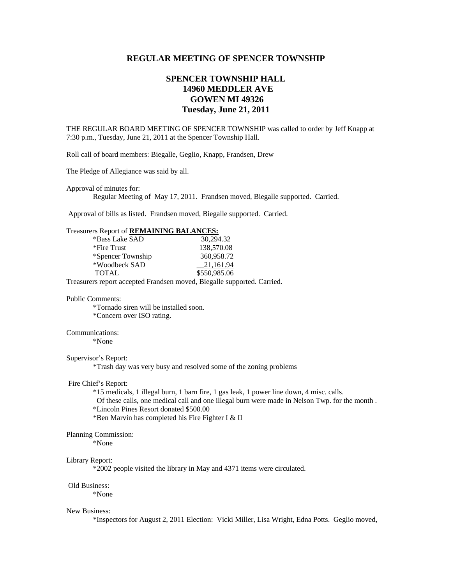# **REGULAR MEETING OF SPENCER TOWNSHIP**

# **SPENCER TOWNSHIP HALL 14960 MEDDLER AVE GOWEN MI 49326 Tuesday, June 21, 2011**

THE REGULAR BOARD MEETING OF SPENCER TOWNSHIP was called to order by Jeff Knapp at 7:30 p.m., Tuesday, June 21, 2011 at the Spencer Township Hall.

Roll call of board members: Biegalle, Geglio, Knapp, Frandsen, Drew

The Pledge of Allegiance was said by all.

Approval of minutes for:

Regular Meeting of May 17, 2011. Frandsen moved, Biegalle supported. Carried.

Approval of bills as listed. Frandsen moved, Biegalle supported. Carried.

### Treasurers Report of **REMAINING BALANCES:**

| *Bass Lake SAD    | 30.294.32    |
|-------------------|--------------|
| *Fire Trust       | 138,570.08   |
| *Spencer Township | 360,958.72   |
| *Woodbeck SAD     | 21.161.94    |
| <b>TOTAL</b>      | \$550,985.06 |

Treasurers report accepted Frandsen moved, Biegalle supported. Carried.

### Public Comments:

 \*Tornado siren will be installed soon. \*Concern over ISO rating.

### Communications:

\*None

## Supervisor's Report:

\*Trash day was very busy and resolved some of the zoning problems

#### Fire Chief's Report:

\*15 medicals, 1 illegal burn, 1 barn fire, 1 gas leak, 1 power line down, 4 misc. calls.

Of these calls, one medical call and one illegal burn were made in Nelson Twp. for the month .

\*Lincoln Pines Resort donated \$500.00

\*Ben Marvin has completed his Fire Fighter I & II

# Planning Commission:

\*None

#### Library Report:

\*2002 people visited the library in May and 4371 items were circulated.

#### Old Business:

\*None

#### New Business:

\*Inspectors for August 2, 2011 Election: Vicki Miller, Lisa Wright, Edna Potts. Geglio moved,